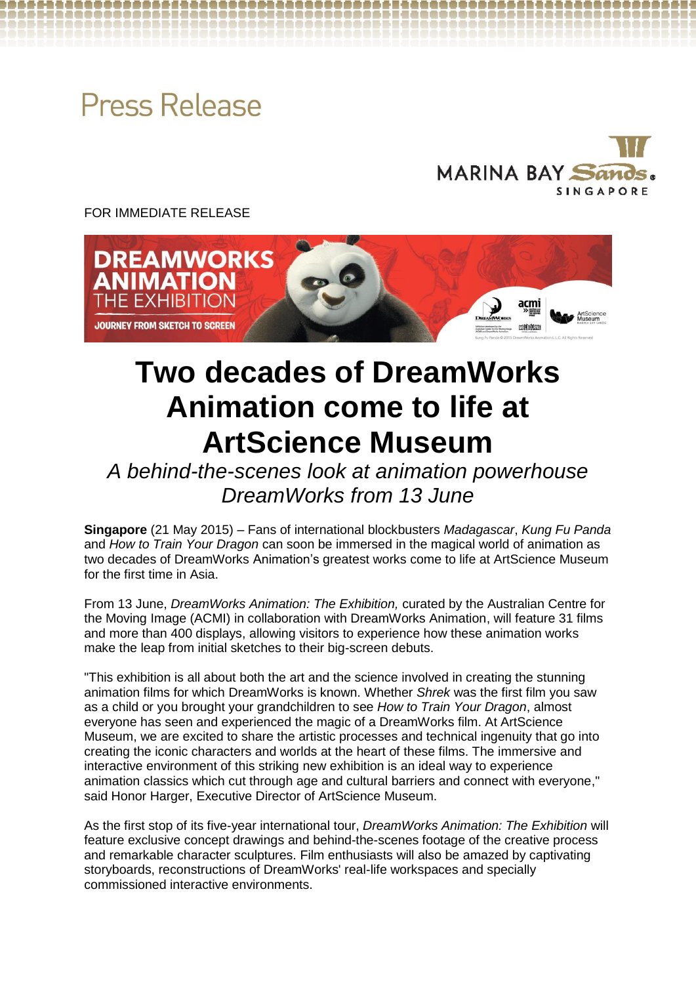# **Press Release**



FOR IMMEDIATE RELEASE



# **Two decades of DreamWorks Animation come to life at ArtScience Museum**

*A behind-the-scenes look at animation powerhouse DreamWorks from 13 June*

**Singapore** (21 May 2015) – Fans of international blockbusters *Madagascar*, *Kung Fu Panda* and *How to Train Your Dragon* can soon be immersed in the magical world of animation as two decades of DreamWorks Animation's greatest works come to life at ArtScience Museum for the first time in Asia.

From 13 June, *DreamWorks Animation: The Exhibition,* curated by the Australian Centre for the Moving Image (ACMI) in collaboration with DreamWorks Animation, will feature 31 films and more than 400 displays, allowing visitors to experience how these animation works make the leap from initial sketches to their big-screen debuts.

"This exhibition is all about both the art and the science involved in creating the stunning animation films for which DreamWorks is known. Whether *Shrek* was the first film you saw as a child or you brought your grandchildren to see *How to Train Your Dragon*, almost everyone has seen and experienced the magic of a DreamWorks film. At ArtScience Museum, we are excited to share the artistic processes and technical ingenuity that go into creating the iconic characters and worlds at the heart of these films. The immersive and interactive environment of this striking new exhibition is an ideal way to experience animation classics which cut through age and cultural barriers and connect with everyone," said Honor Harger, Executive Director of ArtScience Museum.

As the first stop of its five-year international tour, *DreamWorks Animation: The Exhibition* will feature exclusive concept drawings and behind-the-scenes footage of the creative process and remarkable character sculptures. Film enthusiasts will also be amazed by captivating storyboards, reconstructions of DreamWorks' real-life workspaces and specially commissioned interactive environments.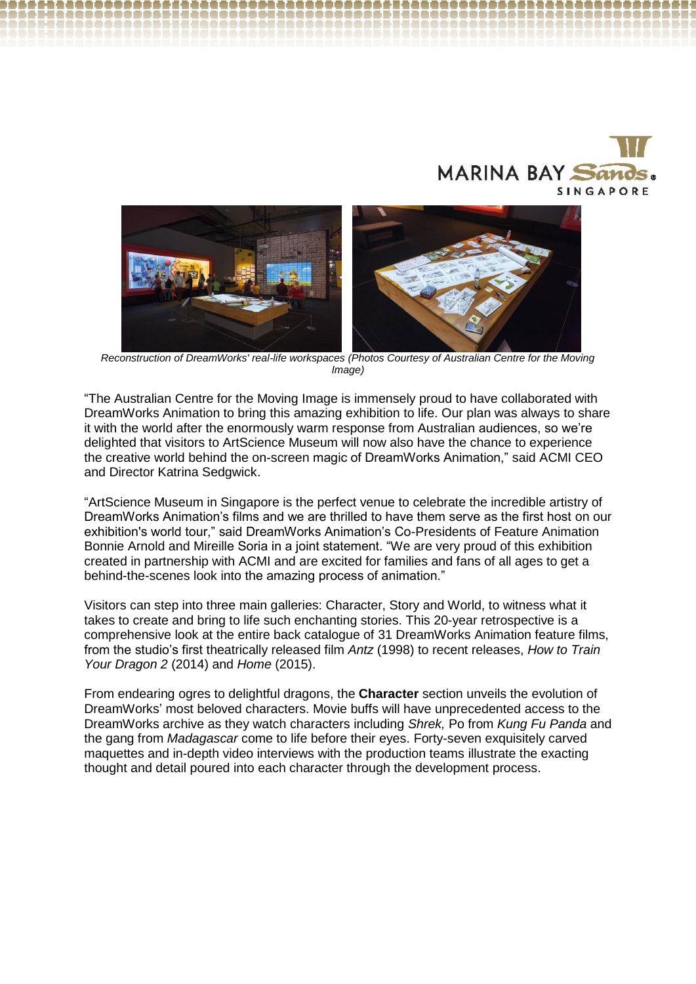



*Reconstruction of DreamWorks' real-life workspaces (Photos Courtesy of Australian Centre for the Moving Image)*

"The Australian Centre for the Moving Image is immensely proud to have collaborated with DreamWorks Animation to bring this amazing exhibition to life. Our plan was always to share it with the world after the enormously warm response from Australian audiences, so we're delighted that visitors to ArtScience Museum will now also have the chance to experience the creative world behind the on-screen magic of DreamWorks Animation," said ACMI CEO and Director Katrina Sedgwick.

"ArtScience Museum in Singapore is the perfect venue to celebrate the incredible artistry of DreamWorks Animation's films and we are thrilled to have them serve as the first host on our exhibition's world tour," said DreamWorks Animation's Co-Presidents of Feature Animation Bonnie Arnold and Mireille Soria in a joint statement. "We are very proud of this exhibition created in partnership with ACMI and are excited for families and fans of all ages to get a behind-the-scenes look into the amazing process of animation."

Visitors can step into three main galleries: Character, Story and World, to witness what it takes to create and bring to life such enchanting stories. This 20-year retrospective is a comprehensive look at the entire back catalogue of 31 DreamWorks Animation feature films, from the studio's first theatrically released film *Antz* (1998) to recent releases, *How to Train Your Dragon 2* (2014) and *Home* (2015).

From endearing ogres to delightful dragons, the **Character** section unveils the evolution of DreamWorks' most beloved characters. Movie buffs will have unprecedented access to the DreamWorks archive as they watch characters including *Shrek,* Po from *Kung Fu Panda* and the gang from *Madagascar* come to life before their eyes. Forty-seven exquisitely carved maquettes and in-depth video interviews with the production teams illustrate the exacting thought and detail poured into each character through the development process.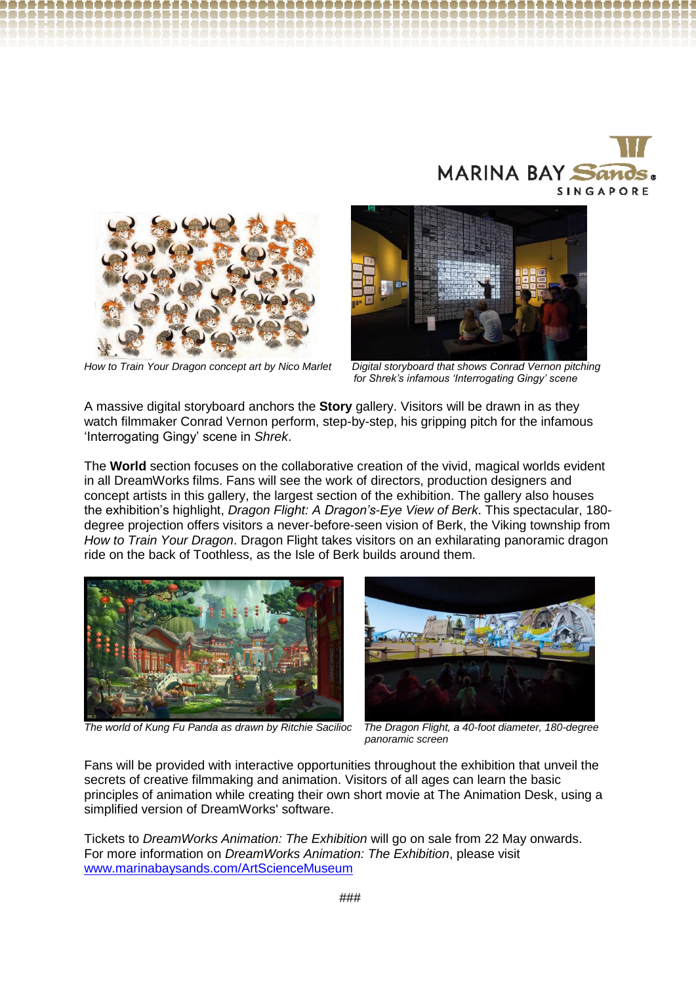





How to Train Your Dragon concept art by Nico Marlet

*Digital storyboard that shows Conrad Vernon pitching for for Shrek's infamous 'Interrogating Gingy' scene*

A massive digital storyboard anchors the **Story** gallery. Visitors will be drawn in as they watch filmmaker Conrad Vernon perform, step-by-step, his gripping pitch for the infamous 'Interrogating Gingy' scene in *Shrek*.

The **World** section focuses on the collaborative creation of the vivid, magical worlds evident in all DreamWorks films. Fans will see the work of directors, production designers and concept artists in this gallery, the largest section of the exhibition. The gallery also houses the exhibition's highlight, *Dragon Flight: A Dragon's-Eye View of Berk*. This spectacular, 180 degree projection offers visitors a never-before-seen vision of Berk, the Viking township from *How to Train Your Dragon*. Dragon Flight takes visitors on an exhilarating panoramic dragon ride on the back of Toothless, as the Isle of Berk builds around them.





*p panoramic screen*

Fans will be provided with interactive opportunities throughout the exhibition that unveil the secrets of creative filmmaking and animation. Visitors of all ages can learn the basic principles of animation while creating their own short movie at The Animation Desk, using a simplified version of DreamWorks' software.

Tickets to *DreamWorks Animation: The Exhibition* will go on sale from 22 May onwards. For more information on *DreamWorks Animation: The Exhibition*, please visit [www.marinabaysands.com/ArtScienceMuseum](http://www.marinabaysands.com/ArtScienceMuseum)